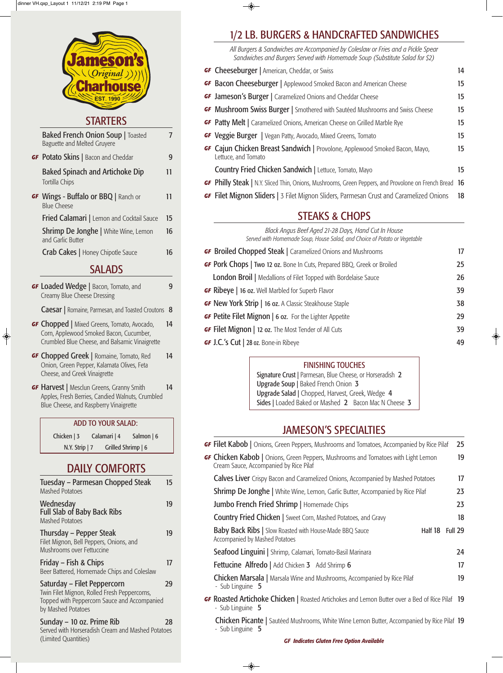## STARTERS

| <b>Baked French Onion Soup   Toasted</b><br>Baguette and Melted Gruyere |    |
|-------------------------------------------------------------------------|----|
| <b>GF Potato Skins</b>   Bacon and Cheddar                              | 9  |
| <b>Baked Spinach and Artichoke Dip</b><br>Tortilla Chips                | 11 |

**GF** Wings - Buffalo or BBQ | Ranch or 11 Blue Cheese Fried Calamari | Lemon and Cocktail Sauce 15 **Shrimp De Jonghe | White Wine, Lemon 16** and Garlic Butter

Crab Cakes | Honey Chipotle Sauce 16

## **SALADS**

**GF Loaded Wedge | Bacon, Tomato, and 9** Creamy Blue Cheese Dressing

Caesar | Romaine, Parmesan, and Toasted Croutons 8

**GF Chopped** | Mixed Greens, Tomato, Avocado, 14 Corn, Applewood Smoked Bacon, Cucumber, Crumbled Blue Cheese, and Balsamic Vinaigrette

 $\bigcirc$ 

- **GF** Chopped Greek | Romaine, Tomato, Red 14 Onion, Green Pepper, Kalamata Olives, Feta Cheese, and Greek Vinaigrette
- **GF Harvest** | Mesclun Greens, Granny Smith 14 Apples, Fresh Berries, Candied Walnuts, Crumbled Blue Cheese, and Raspberry Vinaigrette

Sunday – 10 oz. Prime Rib 28 Served with Horseradish Cream and Mashed Potatoes (Limited Quantities)

#### ADD TO YOUR SALAD:

Chicken | 3 Calamari | 4 Salmon | 6 N.Y. Strip | 7 Grilled Shrimp | 6

## DAILY COMFORTS

| Tuesday – Parmesan Chopped Steak<br><b>Mashed Potatoes</b>                | 15 |
|---------------------------------------------------------------------------|----|
| Wednesday<br><b>Full Slab of Baby Back Ribs</b><br><b>Mashed Potatoes</b> | 19 |
| Thursday – Pepper Steak                                                   | 19 |

Filet Mignon, Bell Peppers, Onions, and Mushrooms over Fettuccine

Friday – Fish & Chips 17 Beer Battered, Homemade Chips and Coleslaw

| <b>GF Cheeseburger</b>   American, Cheddar, or Swiss                                                          | 14 |
|---------------------------------------------------------------------------------------------------------------|----|
| <b>GF Bacon Cheeseburger</b>   Applewood Smoked Bacon and American Cheese                                     | 15 |
| <b>GF Jameson's Burger</b>   Caramelized Onions and Cheddar Cheese                                            | 15 |
| <b>GF Mushroom Swiss Burger</b>   Smothered with Sautéed Mushrooms and Swiss Cheese                           | 15 |
| <b>GF</b> Patty Melt   Caramelized Onions, American Cheese on Grilled Marble Rye                              | 15 |
| <b>GF Veggie Burger</b>   Vegan Patty, Avocado, Mixed Greens, Tomato                                          | 15 |
| GF Cajun Chicken Breast Sandwich   Provolone, Applewood Smoked Bacon, Mayo,<br>Lettuce, and Tomato            | 15 |
| <b>Country Fried Chicken Sandwich   Lettuce, Tomato, Mayo</b>                                                 | 15 |
| <b>GF</b> Philly Steak   N.Y. Sliced Thin, Onions, Mushrooms, Green Peppers, and Provolone on French Bread 16 |    |
| <b>GF Filet Mignon Sliders</b>   3 Filet Mignon Sliders, Parmesan Crust and Caramelized Onions                | 18 |

Saturday – Filet Peppercorn 29 Twin Filet Mignon, Rolled Fresh Peppercorns, Topped with Peppercorn Sauce and Accompanied by Mashed Potatoes

## 1/2 LB. BURGERS & HANDCRAFTED SANDWICHES

*All Burgers & Sandwiches are Accompanied by Coleslaw or Fries and a Pickle Spear Sandwiches and Burgers Served with Homemade Soup (Substitute Salad for \$2)*

## STEAKS & CHOPS

*Black Angus Beef Aged 21-28 Days, Hand Cut In House Served with Homemade Soup, House Salad, and Choice of Potato or Vegetable*

| <b>GF Broiled Chopped Steak   Caramelized Onions and Mushrooms</b>             | 17 |
|--------------------------------------------------------------------------------|----|
| <b>GF Pork Chops   Two 12 oz.</b> Bone In Cuts, Prepared BBQ, Greek or Broiled | 25 |
| London Broil   Medallions of Filet Topped with Bordelaise Sauce                | 26 |
| <b>GF Ribeye</b>   16 oz. Well Marbled for Superb Flavor                       | 39 |
| <b>GF New York Strip   16 oz.</b> A Classic Steakhouse Staple                  | 38 |
| <b>GF Petite Filet Mignon   6 oz.</b> For the Lighter Appetite                 | 29 |
| <b>GF Filet Mignon</b>   12 oz. The Most Tender of All Cuts                    | 39 |
| <b>GF J.C.'s Cut   28 oz. Bone-in Ribeye</b>                                   | 49 |

## JAMESON'S SPECIALTIES

| <b>GF Filet Kabob</b>   Onions, Green Peppers, Mushrooms and Tomatoes, Accompanied by Rice Pilaf                                   |         | 25      |
|------------------------------------------------------------------------------------------------------------------------------------|---------|---------|
| <b>GF Chicken Kabob</b>   Onions, Green Peppers, Mushrooms and Tomatoes with Light Lemon<br>Cream Sauce, Accompanied by Rice Pilaf |         | 19      |
| <b>Calves Liver</b> Crispy Bacon and Caramelized Onions, Accompanied by Mashed Potatoes                                            |         | 17      |
| <b>Shrimp De Jonghe</b>   White Wine, Lemon, Garlic Butter, Accompanied by Rice Pilaf                                              |         | 23      |
| <b>Jumbo French Fried Shrimp</b>   Homemade Chips                                                                                  |         | 23      |
| <b>Country Fried Chicken   Sweet Corn, Mashed Potatoes, and Gravy</b>                                                              |         | 18      |
| Baby Back Ribs   Slow Roasted with House-Made BBQ Sauce                                                                            | Half 18 | Full 29 |

Accompanied by Mashed Potatoes

 $\overline{\bullet}$ 

Seafood Linguini | Shrimp, Calamari, Tomato-Basil Marinara 24

**Fettucine Alfredo** | Add Chicken 3 Add Shrimp 6 17

**Chicken Marsala** | Marsala Wine and Mushrooms, Accompanied by Rice Pilaf 19 - Sub Linguine 5

**GF** Roasted Artichoke Chicken | Roasted Artichokes and Lemon Butter over a Bed of Rice Pilaf 19 - Sub Linguine 5

**Chicken Picante** | Sautéed Mushrooms, White Wine Lemon Butter, Accompanied by Rice Pilaf 19 - Sub Linguine 5

#### FINISHING TOUCHES

Signature Crust | Parmesan, Blue Cheese, or Horseradish 2 Upgrade Soup | Baked French Onion 3 Upgrade Salad | Chopped, Harvest, Greek, Wedge 4 Sides | Loaded Baked or Mashed 2 Bacon Mac N Cheese 3

*GF Indicates Gluten Free Option Available*

| <b>neson</b><br><b>arho</b> |
|-----------------------------|
| <b>EST. 199</b>             |